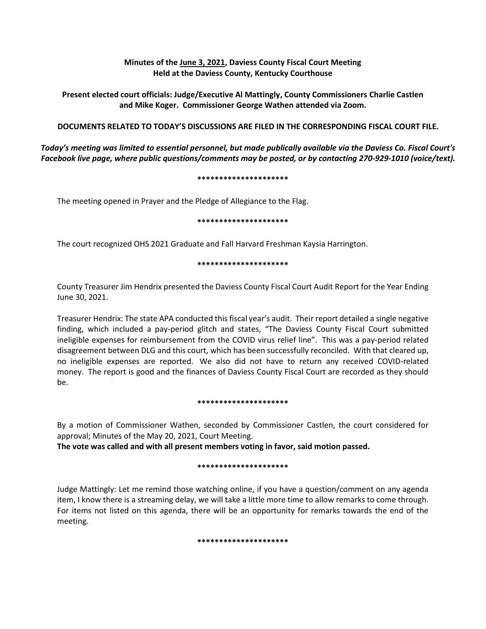# **Minutes of the June 3, 2021, Daviess County Fiscal Court Meeting Held at the Daviess County, Kentucky Courthouse**

**Present elected court officials: Judge/Executive Al Mattingly, County Commissioners Charlie Castlen and Mike Koger. Commissioner George Wathen attended via Zoom.**

# **DOCUMENTS RELATED TO TODAY'S DISCUSSIONS ARE FILED IN THE CORRESPONDING FISCAL COURT FILE.**

*Today's meeting was limited to essential personnel, but made publically available via the Daviess Co. Fiscal Court's Facebook live page, where public questions/comments may be posted, or by contacting 270-929-1010 (voice/text).*

### **\*\*\*\*\*\*\*\*\*\*\*\*\*\*\*\*\*\*\*\*\***

The meeting opened in Prayer and the Pledge of Allegiance to the Flag.

### **\*\*\*\*\*\*\*\*\*\*\*\*\*\*\*\*\*\*\*\*\***

The court recognized OHS 2021 Graduate and Fall Harvard Freshman Kaysia Harrington.

### **\*\*\*\*\*\*\*\*\*\*\*\*\*\*\*\*\*\*\*\*\***

County Treasurer Jim Hendrix presented the Daviess County Fiscal Court Audit Report for the Year Ending June 30, 2021.

Treasurer Hendrix: The state APA conducted this fiscal year's audit. Their report detailed a single negative finding, which included a pay-period glitch and states, "The Daviess County Fiscal Court submitted ineligible expenses for reimbursement from the COVID virus relief line". This was a pay-period related disagreement between DLG and this court, which has been successfully reconciled. With that cleared up, no ineligible expenses are reported. We also did not have to return any received COVID-related money. The report is good and the finances of Daviess County Fiscal Court are recorded as they should be.

#### **\*\*\*\*\*\*\*\*\*\*\*\*\*\*\*\*\*\*\*\*\***

By a motion of Commissioner Wathen, seconded by Commissioner Castlen, the court considered for approval; Minutes of the May 20, 2021, Court Meeting.

**The vote was called and with all present members voting in favor, said motion passed.** 

#### **\*\*\*\*\*\*\*\*\*\*\*\*\*\*\*\*\*\*\*\*\***

Judge Mattingly: Let me remind those watching online, if you have a question/comment on any agenda item, I know there is a streaming delay, we will take a little more time to allow remarks to come through. For items not listed on this agenda, there will be an opportunity for remarks towards the end of the meeting.

#### **\*\*\*\*\*\*\*\*\*\*\*\*\*\*\*\*\*\*\*\*\***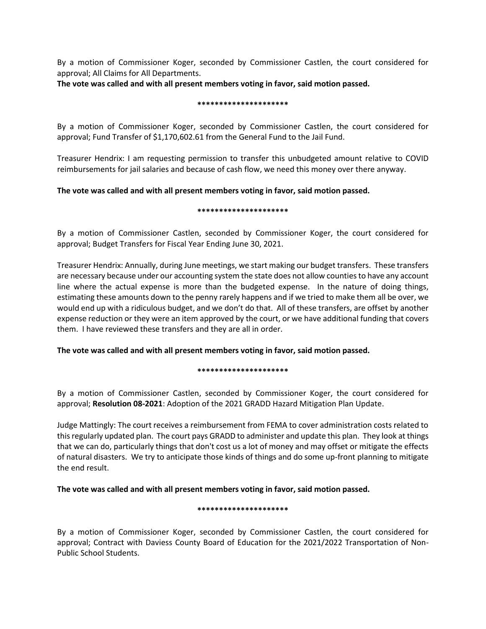By a motion of Commissioner Koger, seconded by Commissioner Castlen, the court considered for approval; All Claims for All Departments.

**The vote was called and with all present members voting in favor, said motion passed.** 

### **\*\*\*\*\*\*\*\*\*\*\*\*\*\*\*\*\*\*\*\*\***

By a motion of Commissioner Koger, seconded by Commissioner Castlen, the court considered for approval; Fund Transfer of \$1,170,602.61 from the General Fund to the Jail Fund.

Treasurer Hendrix: I am requesting permission to transfer this unbudgeted amount relative to COVID reimbursements for jail salaries and because of cash flow, we need this money over there anyway.

# **The vote was called and with all present members voting in favor, said motion passed.**

# **\*\*\*\*\*\*\*\*\*\*\*\*\*\*\*\*\*\*\*\*\***

By a motion of Commissioner Castlen, seconded by Commissioner Koger, the court considered for approval; Budget Transfers for Fiscal Year Ending June 30, 2021.

Treasurer Hendrix: Annually, during June meetings, we start making our budget transfers. These transfers are necessary because under our accounting system the state does not allow counties to have any account line where the actual expense is more than the budgeted expense. In the nature of doing things, estimating these amounts down to the penny rarely happens and if we tried to make them all be over, we would end up with a ridiculous budget, and we don't do that. All of these transfers, are offset by another expense reduction or they were an item approved by the court, or we have additional funding that covers them. I have reviewed these transfers and they are all in order.

**The vote was called and with all present members voting in favor, said motion passed.** 

# **\*\*\*\*\*\*\*\*\*\*\*\*\*\*\*\*\*\*\*\*\***

By a motion of Commissioner Castlen, seconded by Commissioner Koger, the court considered for approval; **Resolution 08-2021**: Adoption of the 2021 GRADD Hazard Mitigation Plan Update.

Judge Mattingly: The court receives a reimbursement from FEMA to cover administration costs related to this regularly updated plan. The court pays GRADD to administer and update this plan. They look at things that we can do, particularly things that don't cost us a lot of money and may offset or mitigate the effects of natural disasters. We try to anticipate those kinds of things and do some up-front planning to mitigate the end result.

**The vote was called and with all present members voting in favor, said motion passed.** 

# **\*\*\*\*\*\*\*\*\*\*\*\*\*\*\*\*\*\*\*\*\***

By a motion of Commissioner Koger, seconded by Commissioner Castlen, the court considered for approval; Contract with Daviess County Board of Education for the 2021/2022 Transportation of Non-Public School Students.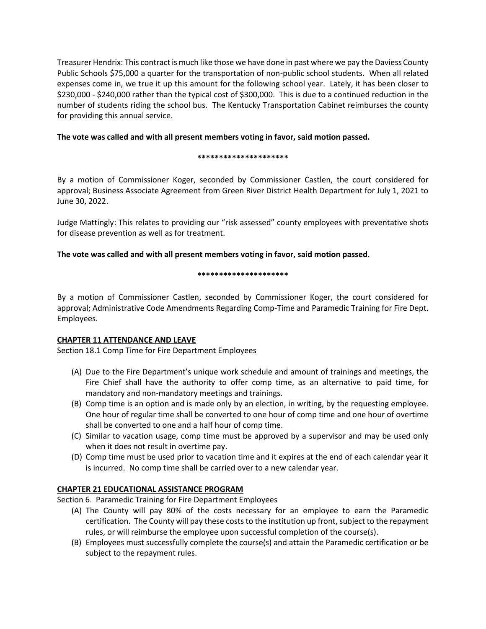Treasurer Hendrix: This contract is much like those we have done in past where we pay the Daviess County Public Schools \$75,000 a quarter for the transportation of non-public school students. When all related expenses come in, we true it up this amount for the following school year. Lately, it has been closer to \$230,000 - \$240,000 rather than the typical cost of \$300,000. This is due to a continued reduction in the number of students riding the school bus. The Kentucky Transportation Cabinet reimburses the county for providing this annual service.

# **The vote was called and with all present members voting in favor, said motion passed.**

#### **\*\*\*\*\*\*\*\*\*\*\*\*\*\*\*\*\*\*\*\*\***

By a motion of Commissioner Koger, seconded by Commissioner Castlen, the court considered for approval; Business Associate Agreement from Green River District Health Department for July 1, 2021 to June 30, 2022.

Judge Mattingly: This relates to providing our "risk assessed" county employees with preventative shots for disease prevention as well as for treatment.

**The vote was called and with all present members voting in favor, said motion passed.** 

### **\*\*\*\*\*\*\*\*\*\*\*\*\*\*\*\*\*\*\*\*\***

By a motion of Commissioner Castlen, seconded by Commissioner Koger, the court considered for approval; Administrative Code Amendments Regarding Comp-Time and Paramedic Training for Fire Dept. Employees.

# **CHAPTER 11 ATTENDANCE AND LEAVE**

Section 18.1 Comp Time for Fire Department Employees

- (A) Due to the Fire Department's unique work schedule and amount of trainings and meetings, the Fire Chief shall have the authority to offer comp time, as an alternative to paid time, for mandatory and non-mandatory meetings and trainings.
- (B) Comp time is an option and is made only by an election, in writing, by the requesting employee. One hour of regular time shall be converted to one hour of comp time and one hour of overtime shall be converted to one and a half hour of comp time.
- (C) Similar to vacation usage, comp time must be approved by a supervisor and may be used only when it does not result in overtime pay.
- (D) Comp time must be used prior to vacation time and it expires at the end of each calendar year it is incurred. No comp time shall be carried over to a new calendar year.

# **CHAPTER 21 EDUCATIONAL ASSISTANCE PROGRAM**

Section 6. Paramedic Training for Fire Department Employees

- (A) The County will pay 80% of the costs necessary for an employee to earn the Paramedic certification. The County will pay these costs to the institution up front, subject to the repayment rules, or will reimburse the employee upon successful completion of the course(s).
- (B) Employees must successfully complete the course(s) and attain the Paramedic certification or be subject to the repayment rules.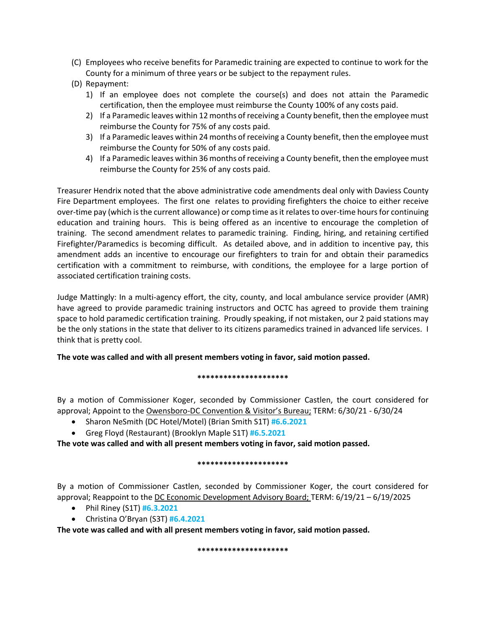- (C) Employees who receive benefits for Paramedic training are expected to continue to work for the County for a minimum of three years or be subject to the repayment rules.
- (D) Repayment:
	- 1) If an employee does not complete the course(s) and does not attain the Paramedic certification, then the employee must reimburse the County 100% of any costs paid.
	- 2) If a Paramedic leaves within 12 months of receiving a County benefit, then the employee must reimburse the County for 75% of any costs paid.
	- 3) If a Paramedic leaves within 24 months of receiving a County benefit, then the employee must reimburse the County for 50% of any costs paid.
	- 4) If a Paramedic leaves within 36 months of receiving a County benefit, then the employee must reimburse the County for 25% of any costs paid.

Treasurer Hendrix noted that the above administrative code amendments deal only with Daviess County Fire Department employees. The first one relates to providing firefighters the choice to either receive over-time pay (which is the current allowance) or comp time as it relates to over-time hours for continuing education and training hours. This is being offered as an incentive to encourage the completion of training. The second amendment relates to paramedic training. Finding, hiring, and retaining certified Firefighter/Paramedics is becoming difficult. As detailed above, and in addition to incentive pay, this amendment adds an incentive to encourage our firefighters to train for and obtain their paramedics certification with a commitment to reimburse, with conditions, the employee for a large portion of associated certification training costs.

Judge Mattingly: In a multi-agency effort, the city, county, and local ambulance service provider (AMR) have agreed to provide paramedic training instructors and OCTC has agreed to provide them training space to hold paramedic certification training. Proudly speaking, if not mistaken, our 2 paid stations may be the only stations in the state that deliver to its citizens paramedics trained in advanced life services. I think that is pretty cool.

# **The vote was called and with all present members voting in favor, said motion passed.**

# **\*\*\*\*\*\*\*\*\*\*\*\*\*\*\*\*\*\*\*\*\***

By a motion of Commissioner Koger, seconded by Commissioner Castlen, the court considered for approval; Appoint to the Owensboro-DC Convention & Visitor's Bureau; TERM: 6/30/21 - 6/30/24

- Sharon NeSmith (DC Hotel/Motel) (Brian Smith S1T) **#6.6.2021**
- Greg Floyd (Restaurant) (Brooklyn Maple S1T) **#6.5.2021**

**The vote was called and with all present members voting in favor, said motion passed.**

# **\*\*\*\*\*\*\*\*\*\*\*\*\*\*\*\*\*\*\*\*\***

By a motion of Commissioner Castlen, seconded by Commissioner Koger, the court considered for approval; Reappoint to the DC Economic Development Advisory Board; TERM: 6/19/21 – 6/19/2025

- Phil Riney (S1T) **#6.3.2021**
- Christina O'Bryan (S3T) **#6.4.2021**

**The vote was called and with all present members voting in favor, said motion passed.**

#### **\*\*\*\*\*\*\*\*\*\*\*\*\*\*\*\*\*\*\*\*\***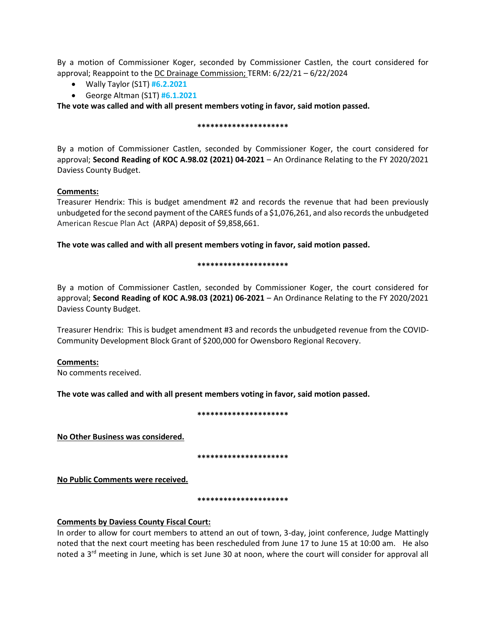By a motion of Commissioner Koger, seconded by Commissioner Castlen, the court considered for approval; Reappoint to the DC Drainage Commission; TERM: 6/22/21 – 6/22/2024

- Wally Taylor (S1T) **#6.2.2021**
- George Altman (S1T) **#6.1.2021**

**The vote was called and with all present members voting in favor, said motion passed.**

### **\*\*\*\*\*\*\*\*\*\*\*\*\*\*\*\*\*\*\*\*\***

By a motion of Commissioner Castlen, seconded by Commissioner Koger, the court considered for approval; **Second Reading of KOC A.98.02 (2021) 04-2021** – An Ordinance Relating to the FY 2020/2021 Daviess County Budget.

# **Comments:**

Treasurer Hendrix: This is budget amendment #2 and records the revenue that had been previously unbudgeted for the second payment of the CARES funds of a \$1,076,261, and also records the unbudgeted American Rescue Plan Act (ARPA) deposit of \$9,858,661.

**The vote was called and with all present members voting in favor, said motion passed.**

# **\*\*\*\*\*\*\*\*\*\*\*\*\*\*\*\*\*\*\*\*\***

By a motion of Commissioner Castlen, seconded by Commissioner Koger, the court considered for approval; **Second Reading of KOC A.98.03 (2021) 06-2021** – An Ordinance Relating to the FY 2020/2021 Daviess County Budget.

Treasurer Hendrix: This is budget amendment #3 and records the unbudgeted revenue from the COVID-Community Development Block Grant of \$200,000 for Owensboro Regional Recovery.

# **Comments:**

No comments received.

**The vote was called and with all present members voting in favor, said motion passed.**

# **\*\*\*\*\*\*\*\*\*\*\*\*\*\*\*\*\*\*\*\*\***

**No Other Business was considered.** 

**\*\*\*\*\*\*\*\*\*\*\*\*\*\*\*\*\*\*\*\*\***

**No Public Comments were received.**

**\*\*\*\*\*\*\*\*\*\*\*\*\*\*\*\*\*\*\*\*\***

# **Comments by Daviess County Fiscal Court:**

In order to allow for court members to attend an out of town, 3-day, joint conference, Judge Mattingly noted that the next court meeting has been rescheduled from June 17 to June 15 at 10:00 am. He also noted a 3<sup>rd</sup> meeting in June, which is set June 30 at noon, where the court will consider for approval all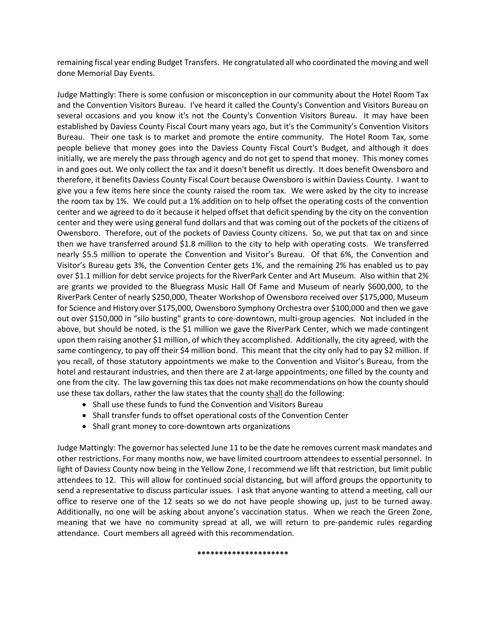remaining fiscal year ending Budget Transfers. He congratulated all who coordinated the moving and well done Memorial Day Events.

Judge Mattingly: There is some confusion or misconception in our community about the Hotel Room Tax and the Convention Visitors Bureau. I've heard it called the County's Convention and Visitors Bureau on several occasions and you know it's not the County's Convention Visitors Bureau. It may have been established by Daviess County Fiscal Court many years ago, but it's the Community's Convention Visitors Bureau. Their one task is to market and promote the entire community. The Hotel Room Tax, some people believe that money goes into the Daviess County Fiscal Court's Budget, and although it does initially, we are merely the pass through agency and do not get to spend that money. This money comes in and goes out. We only collect the tax and it doesn't benefit us directly. It does benefit Owensboro and therefore, it benefits Daviess County Fiscal Court because Owensboro is within Daviess County. I want to give you a few items here since the county raised the room tax. We were asked by the city to increase the room tax by 1%. We could put a 1% addition on to help offset the operating costs of the convention center and we agreed to do it because it helped offset that deficit spending by the city on the convention center and they were using general fund dollars and that was coming out of the pockets of the citizens of Owensboro. Therefore, out of the pockets of Daviess County citizens. So, we put that tax on and since then we have transferred around \$1.8 million to the city to help with operating costs. We transferred nearly \$5.5 million to operate the Convention and Visitor's Bureau. Of that 6%, the Convention and Visitor's Bureau gets 3%, the Convention Center gets 1%, and the remaining 2% has enabled us to pay over \$1.1 million for debt service projects for the RiverPark Center and Art Museum. Also within that 2% are grants we provided to the Bluegrass Music Hall Of Fame and Museum of nearly \$600,000, to the RiverPark Center of nearly \$250,000, Theater Workshop of Owensboro received over \$175,000, Museum for Science and History over \$175,000, Owensboro Symphony Orchestra over \$100,000 and then we gave out over \$150,000 in "silo busting" grants to core-downtown, multi-group agencies. Not included in the above, but should be noted, is the \$1 million we gave the RiverPark Center, which we made contingent upon them raising another \$1 million, of which they accomplished. Additionally, the city agreed, with the same contingency, to pay off their \$4 million bond. This meant that the city only had to pay \$2 million. If you recall, of those statutory appointments we make to the Convention and Visitor's Bureau, from the hotel and restaurant industries, and then there are 2 at-large appointments; one filled by the county and one from the city. The law governing this tax does not make recommendations on how the county should use these tax dollars, rather the law states that the county shall do the following:

- Shall use these funds to fund the Convention and Visitors Bureau
- Shall transfer funds to offset operational costs of the Convention Center
- Shall grant money to core-downtown arts organizations

Judge Mattingly: The governor has selected June 11 to be the date he removes current mask mandates and other restrictions. For many months now, we have limited courtroom attendees to essential personnel. In light of Daviess County now being in the Yellow Zone, I recommend we lift that restriction, but limit public attendees to 12. This will allow for continued social distancing, but will afford groups the opportunity to send a representative to discuss particular issues. I ask that anyone wanting to attend a meeting, call our office to reserve one of the 12 seats so we do not have people showing up, just to be turned away. Additionally, no one will be asking about anyone's vaccination status. When we reach the Green Zone, meaning that we have no community spread at all, we will return to pre-pandemic rules regarding attendance. Court members all agreed with this recommendation.

#### **\*\*\*\*\*\*\*\*\*\*\*\*\*\*\*\*\*\*\*\*\***